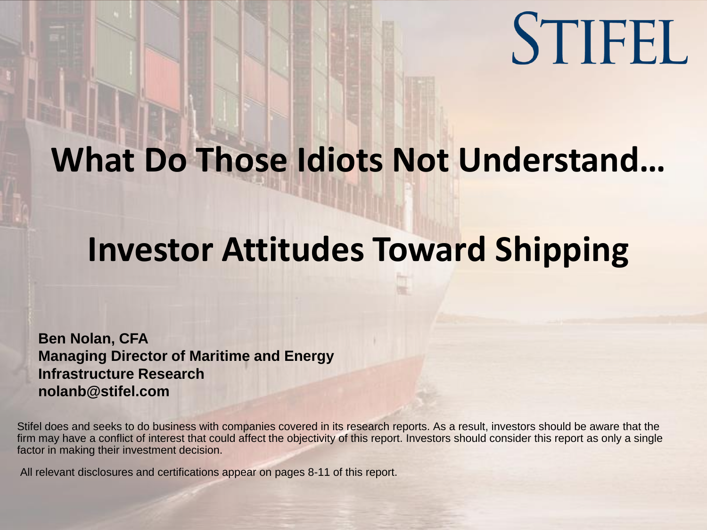

# **What Do Those Idiots Not Understand…**

# **Investor Attitudes Toward Shipping**

**Ben Nolan, CFA Managing Director of Maritime and Energy Infrastructure Research nolanb@stifel.com**

Stifel does and seeks to do business with companies covered in its research reports. As a result, investors should be aware that the firm may have a conflict of interest that could affect the objectivity of this report. Investors should consider this report as only a single factor in making their investment decision.

All relevant disclosures and certifications appear on pages 8-11 of this report.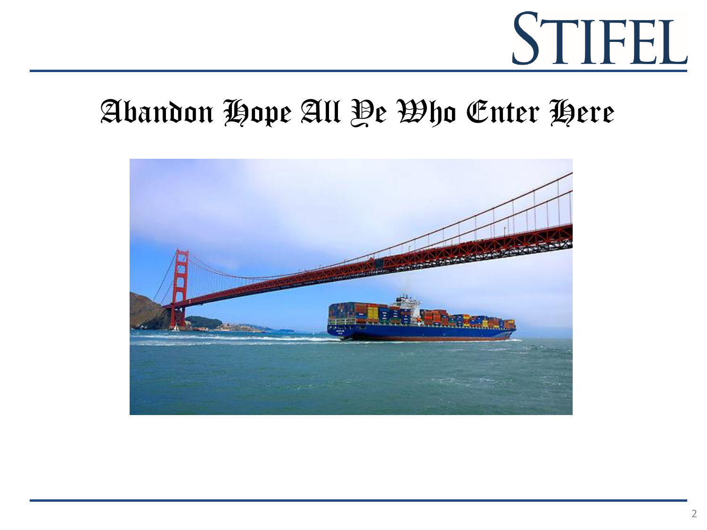# Abandon Hope All Ye Who Enter Here

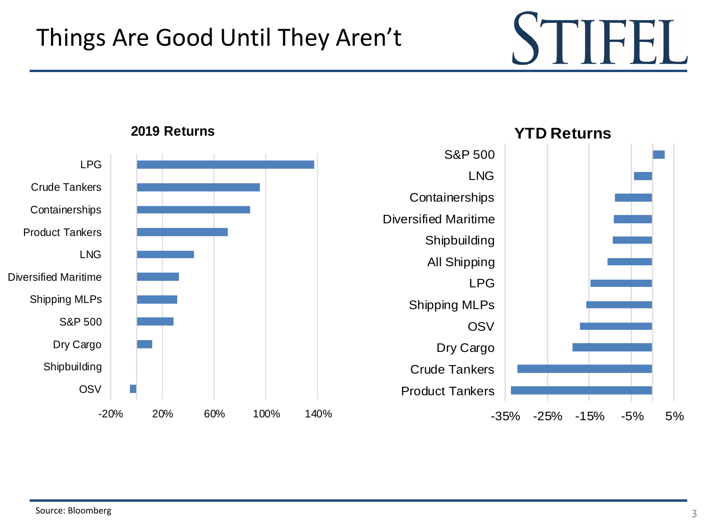**YTD Returns**



### **2019 Returns**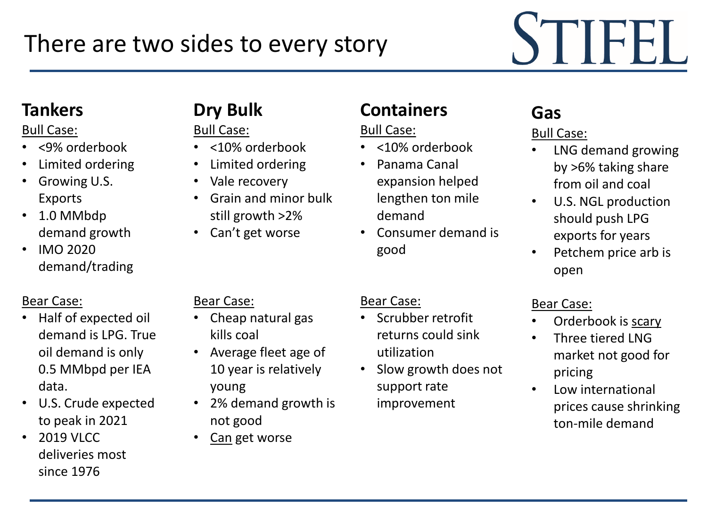# STIFEI

## **Tankers**

## Bull Case:

- <9% orderbook
- Limited ordering
- Growing U.S. Exports
- 1.0 MMbdp demand growth
- IMO 2020 demand/trading

## Bear Case:

- Half of expected oil demand is LPG. True oil demand is only 0.5 MMbpd per IEA data.
- U.S. Crude expected to peak in 2021
- 2019 VLCC deliveries most since 1976

## **Dry Bulk**

Bull Case:

- <10% orderbook
- Limited ordering
- Vale recovery
- Grain and minor bulk still growth >2%
- Can't get worse

## Bear Case:

- Cheap natural gas kills coal
- Average fleet age of 10 year is relatively young
- 2% demand growth is not good
	- Can get worse

## **Containers**

### Bull Case:

Bear Case:

- <10% orderbook
- Panama Canal expansion helped lengthen ton mile demand
- Consumer demand is good

• Scrubber retrofit

utilization

support rate improvement

returns could sink

• Slow growth does not

## **Gas**

## Bull Case:

- LNG demand growing by >6% taking share from oil and coal
- U.S. NGL production should push LPG exports for years
- Petchem price arb is open

## Bear Case:

- Orderbook is scary
- Three tiered LNG market not good for pricing
- Low international prices cause shrinking ton-mile demand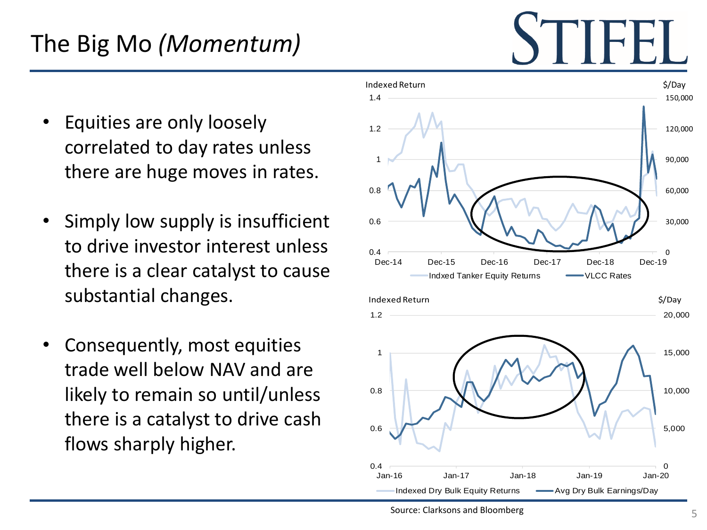# The Big Mo *(Momentum)*

- Equities are only loosely correlated to day rates unless there are huge moves in rates.
- Simply low supply is insufficient to drive investor interest unless there is a clear catalyst to cause substantial changes.
- Consequently, most equities trade well below NAV and are likely to remain so until/unless there is a catalyst to drive cash flows sharply higher.

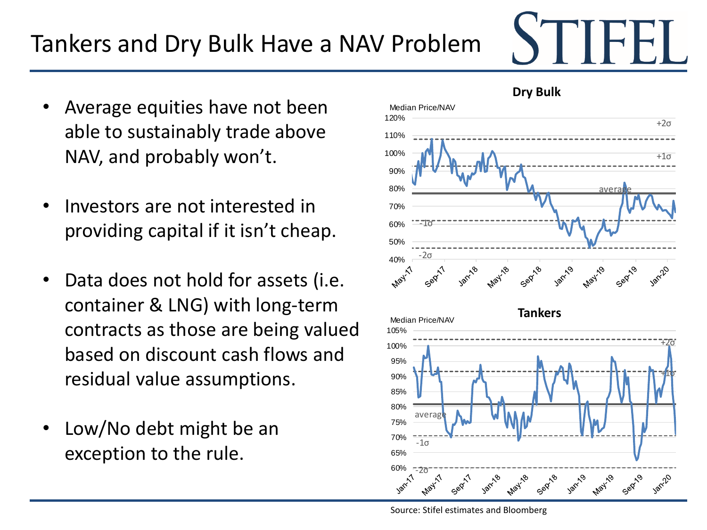### Source: Stifel estimates and Bloomberg

# Tankers and Dry Bulk Have a NAV Problem

- Average equities have not been able to sustainably trade above NAV, and probably won't.
- Investors are not interested in providing capital if it isn't cheap.
- Data does not hold for assets (i.e. container & LNG) with long-term contracts as those are being valued based on discount cash flows and residual value assumptions.
- Low/No debt might be an exception to the rule.



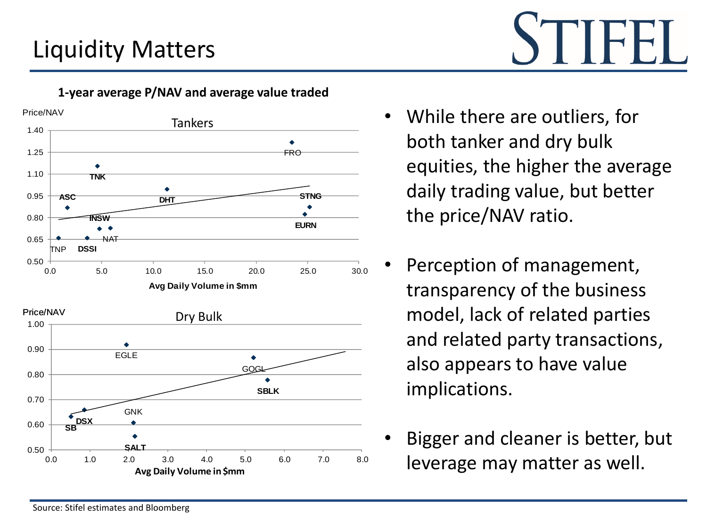# Liquidity Matters

Price/NAV **Tankers** 1.40 1.25 FRO 1.10 **TNK** ٠ 0.95 **STNG ASC DHT**  $\color{blue}\blacklozenge$ 0.80 **INSW EURN**  $\bullet$ 0.65 NAT TNP **DSSI** 0.50 0.0 5.0 10.0 15.0 20.0 25.0 30.0 **Avg Daily Volume in \$mm** Price/NAV Dry Bulk 1.00 0.90 EGLE GOGI 0.80  $\bullet$ **SBLK** 0.70 **GNK SB DSX** 0.60 **SALT** 0.50 0.0 1.0 2.0 3.0 4.0 5.0 6.0 7.0 8.0 **Avg Daily Volume in \$mm**

### **1-year average P/NAV and average value traded**

- 
- While there are outliers, for both tanker and dry bulk equities, the higher the average daily trading value, but better the price/NAV ratio.
- Perception of management, transparency of the business model, lack of related parties and related party transactions, also appears to have value implications.
- Bigger and cleaner is better, but leverage may matter as well.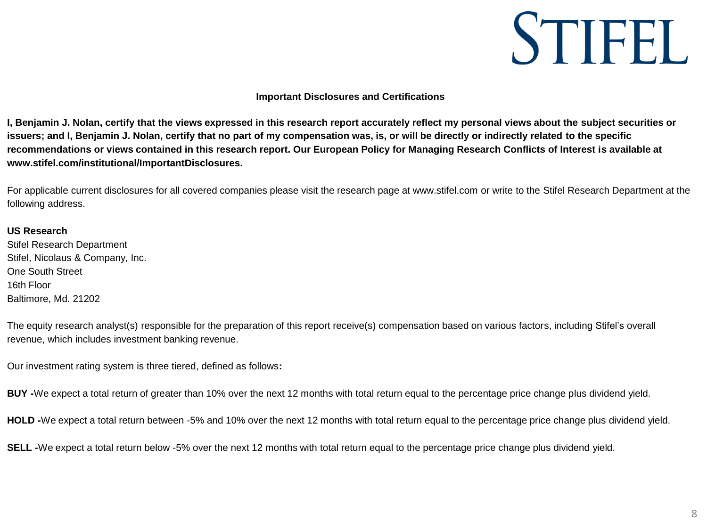

#### **Important Disclosures and Certifications**

**I, Benjamin J. Nolan, certify that the views expressed in this research report accurately reflect my personal views about the subject securities or issuers; and I, Benjamin J. Nolan, certify that no part of my compensation was, is, or will be directly or indirectly related to the specific recommendations or views contained in this research report. Our European Policy for Managing Research Conflicts of Interest is available at www.stifel.com/institutional/ImportantDisclosures.** 

For applicable current disclosures for all covered companies please visit the research page at www.stifel.com or write to the Stifel Research Department at the following address.

#### **US Research**

Stifel Research Department Stifel, Nicolaus & Company, Inc. One South Street 16th Floor Baltimore, Md. 21202

The equity research analyst(s) responsible for the preparation of this report receive(s) compensation based on various factors, including Stifel's overall revenue, which includes investment banking revenue.

Our investment rating system is three tiered, defined as follows**:**

**BUY -**We expect a total return of greater than 10% over the next 12 months with total return equal to the percentage price change plus dividend yield.

**HOLD -**We expect a total return between -5% and 10% over the next 12 months with total return equal to the percentage price change plus dividend yield.

**SELL -**We expect a total return below -5% over the next 12 months with total return equal to the percentage price change plus dividend yield.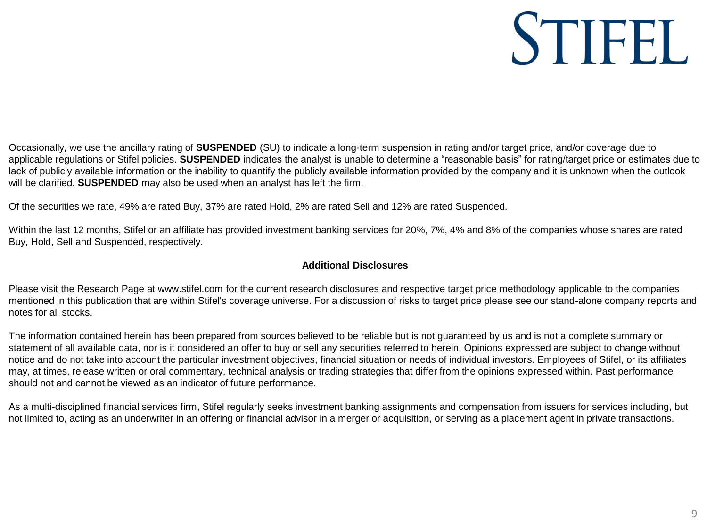Occasionally, we use the ancillary rating of **SUSPENDED** (SU) to indicate a long-term suspension in rating and/or target price, and/or coverage due to applicable regulations or Stifel policies. **SUSPENDED** indicates the analyst is unable to determine a "reasonable basis" for rating/target price or estimates due to lack of publicly available information or the inability to quantify the publicly available information provided by the company and it is unknown when the outlook will be clarified. **SUSPENDED** may also be used when an analyst has left the firm.

Of the securities we rate, 49% are rated Buy, 37% are rated Hold, 2% are rated Sell and 12% are rated Suspended.

Within the last 12 months, Stifel or an affiliate has provided investment banking services for 20%, 7%, 4% and 8% of the companies whose shares are rated Buy, Hold, Sell and Suspended, respectively.

### **Additional Disclosures**

Please visit the Research Page at www.stifel.com for the current research disclosures and respective target price methodology applicable to the companies mentioned in this publication that are within Stifel's coverage universe. For a discussion of risks to target price please see our stand-alone company reports and notes for all stocks.

The information contained herein has been prepared from sources believed to be reliable but is not guaranteed by us and is not a complete summary or statement of all available data, nor is it considered an offer to buy or sell any securities referred to herein. Opinions expressed are subject to change without notice and do not take into account the particular investment objectives, financial situation or needs of individual investors. Employees of Stifel, or its affiliates may, at times, release written or oral commentary, technical analysis or trading strategies that differ from the opinions expressed within. Past performance should not and cannot be viewed as an indicator of future performance.

As a multi-disciplined financial services firm, Stifel regularly seeks investment banking assignments and compensation from issuers for services including, but not limited to, acting as an underwriter in an offering or financial advisor in a merger or acquisition, or serving as a placement agent in private transactions.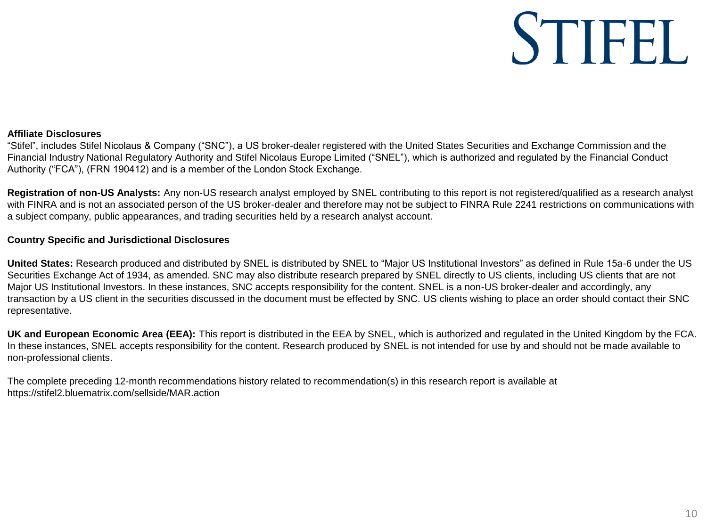#### **Affiliate Disclosures**

"Stifel", includes Stifel Nicolaus & Company ("SNC"), a US broker-dealer registered with the United States Securities and Exchange Commission and the Financial Industry National Regulatory Authority and Stifel Nicolaus Europe Limited ("SNEL"), which is authorized and regulated by the Financial Conduct Authority ("FCA"), (FRN 190412) and is a member of the London Stock Exchange.

**Registration of non-US Analysts:** Any non-US research analyst employed by SNEL contributing to this report is not registered/qualified as a research analyst with FINRA and is not an associated person of the US broker-dealer and therefore may not be subject to FINRA Rule 2241 restrictions on communications with a subject company, public appearances, and trading securities held by a research analyst account.

#### **Country Specific and Jurisdictional Disclosures**

**United States:** Research produced and distributed by SNEL is distributed by SNEL to "Major US Institutional Investors" as defined in Rule 15a-6 under the US Securities Exchange Act of 1934, as amended. SNC may also distribute research prepared by SNEL directly to US clients, including US clients that are not Major US Institutional Investors. In these instances, SNC accepts responsibility for the content. SNEL is a non-US broker-dealer and accordingly, any transaction by a US client in the securities discussed in the document must be effected by SNC. US clients wishing to place an order should contact their SNC representative.

**UK and European Economic Area (EEA):** This report is distributed in the EEA by SNEL, which is authorized and regulated in the United Kingdom by the FCA. In these instances, SNEL accepts responsibility for the content. Research produced by SNEL is not intended for use by and should not be made available to non-professional clients.

The complete preceding 12-month recommendations history related to recommendation(s) in this research report is available at https://stifel2.bluematrix.com/sellside/MAR.action